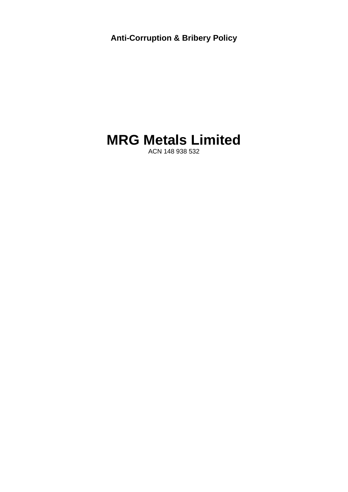**Anti-Corruption & Bribery Policy** 

## **MRG Metals Limited**

ACN 148 938 532